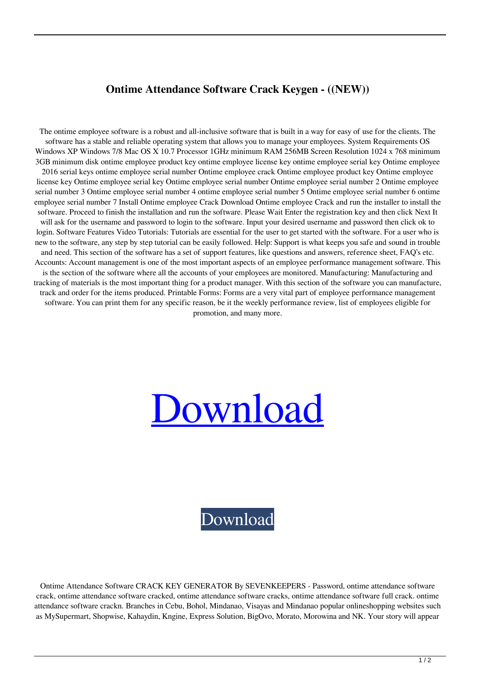## **Ontime Attendance Software Crack Keygen - ((NEW))**

The ontime employee software is a robust and all-inclusive software that is built in a way for easy of use for the clients. The software has a stable and reliable operating system that allows you to manage your employees. System Requirements OS Windows XP Windows 7/8 Mac OS X 10.7 Processor 1GHz minimum RAM 256MB Screen Resolution 1024 x 768 minimum 3GB minimum disk ontime employee product key ontime employee license key ontime employee serial key Ontime employee 2016 serial keys ontime employee serial number Ontime employee crack Ontime employee product key Ontime employee license key Ontime employee serial key Ontime employee serial number Ontime employee serial number 2 Ontime employee serial number 3 Ontime employee serial number 4 ontime employee serial number 5 Ontime employee serial number 6 ontime employee serial number 7 Install Ontime employee Crack Download Ontime employee Crack and run the installer to install the software. Proceed to finish the installation and run the software. Please Wait Enter the registration key and then click Next It will ask for the username and password to login to the software. Input your desired username and password then click ok to login. Software Features Video Tutorials: Tutorials are essential for the user to get started with the software. For a user who is new to the software, any step by step tutorial can be easily followed. Help: Support is what keeps you safe and sound in trouble and need. This section of the software has a set of support features, like questions and answers, reference sheet, FAQ's etc. Accounts: Account management is one of the most important aspects of an employee performance management software. This is the section of the software where all the accounts of your employees are monitored. Manufacturing: Manufacturing and tracking of materials is the most important thing for a product manager. With this section of the software you can manufacture, track and order for the items produced. Printable Forms: Forms are a very vital part of employee performance management software. You can print them for any specific reason, be it the weekly performance review, list of employees eligible for promotion, and many more.

## [Download](https://blltly.com/2l0uxp)

[Download](https://blltly.com/2l0uxp)

Ontime Attendance Software CRACK KEY GENERATOR By SEVENKEEPERS - Password, ontime attendance software crack, ontime attendance software cracked, ontime attendance software cracks, ontime attendance software full crack. ontime attendance software crackn. Branches in Cebu, Bohol, Mindanao, Visayas and Mindanao popular onlineshopping websites such as MySupermart, Shopwise, Kahaydin, Kngine, Express Solution, BigOvo, Morato, Morowina and NK. Your story will appear